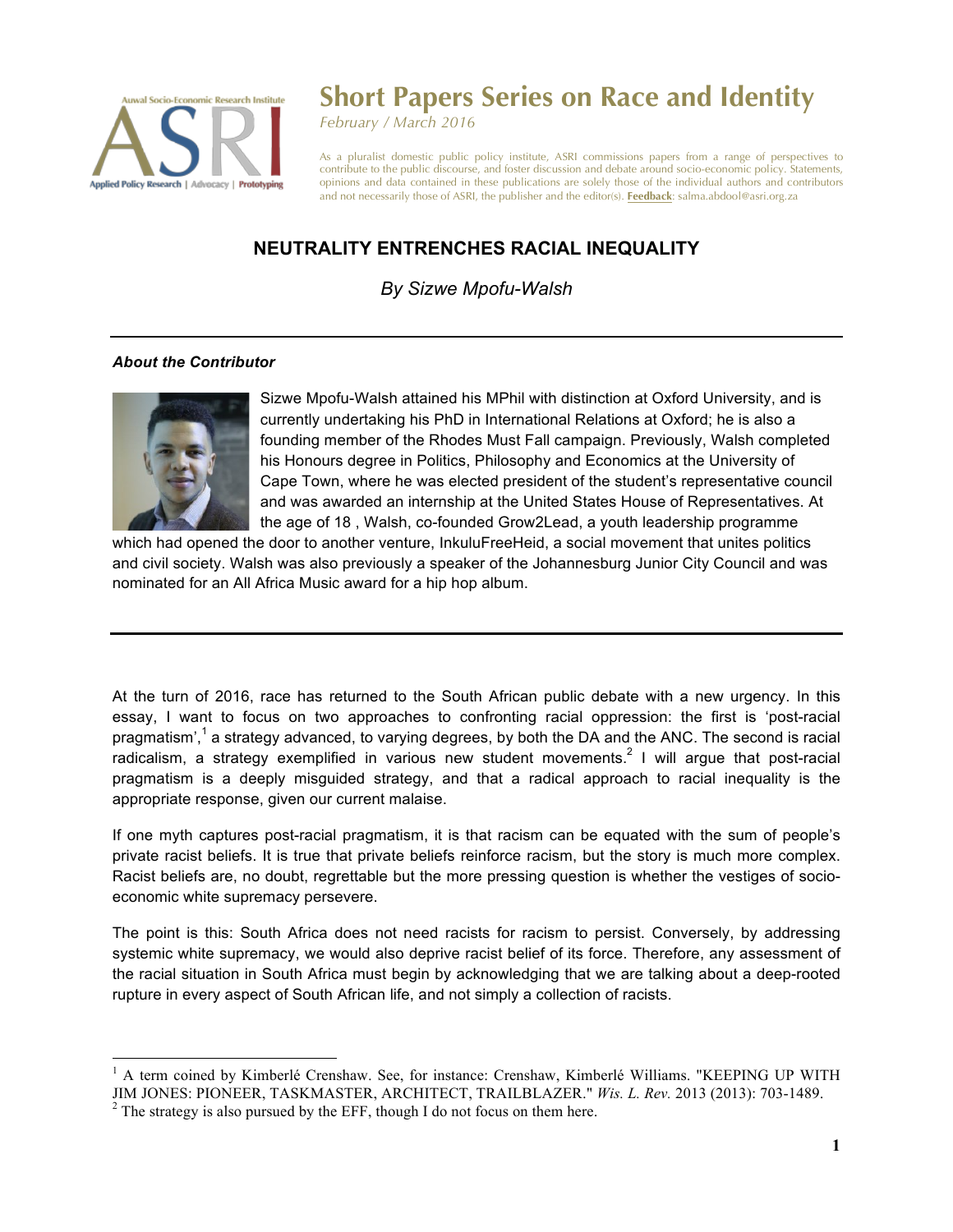

## **Short Papers Series on Race and Identity**

*February / March 2016*

As a pluralist domestic public policy institute, ASRI commissions papers from a range of perspectives to contribute to the public discourse, and foster discussion and debate around socio-economic policy. Statements, opinions and data contained in these publications are solely those of the individual authors and contributors and not necessarily those of ASRI, the publisher and the editor(s). **Feedback**: salma.abdool@asri.org.za

## **NEUTRALITY ENTRENCHES RACIAL INEQUALITY**

## *By Sizwe Mpofu-Walsh*

## *About the Contributor*



Sizwe Mpofu-Walsh attained his MPhil with distinction at Oxford University, and is currently undertaking his PhD in International Relations at Oxford; he is also a founding member of the Rhodes Must Fall campaign. Previously, Walsh completed his Honours degree in Politics, Philosophy and Economics at the University of Cape Town, where he was elected president of the student's representative council and was awarded an internship at the United States House of Representatives. At the age of 18 , Walsh, co-founded Grow2Lead, a youth leadership programme

which had opened the door to another venture, InkuluFreeHeid, a social movement that unites politics and civil society. Walsh was also previously a speaker of the Johannesburg Junior City Council and was nominated for an All Africa Music award for a hip hop album.

At the turn of 2016, race has returned to the South African public debate with a new urgency. In this essay, I want to focus on two approaches to confronting racial oppression: the first is 'post-racial pragmatism',<sup>1</sup> a strategy advanced, to varying degrees, by both the DA and the ANC. The second is racial radicalism, a strategy exemplified in various new student movements.<sup>2</sup> I will argue that post-racial pragmatism is a deeply misguided strategy, and that a radical approach to racial inequality is the appropriate response, given our current malaise.

If one myth captures post-racial pragmatism, it is that racism can be equated with the sum of people's private racist beliefs. It is true that private beliefs reinforce racism, but the story is much more complex. Racist beliefs are, no doubt, regrettable but the more pressing question is whether the vestiges of socioeconomic white supremacy persevere.

The point is this: South Africa does not need racists for racism to persist. Conversely, by addressing systemic white supremacy, we would also deprive racist belief of its force. Therefore, any assessment of the racial situation in South Africa must begin by acknowledging that we are talking about a deep-rooted rupture in every aspect of South African life, and not simply a collection of racists.

<sup>&</sup>lt;sup>1</sup> A term coined by Kimberlé Crenshaw. See, for instance: Crenshaw, Kimberlé Williams. "KEEPING UP WITH JIM JONES: PIONEER, TASKMASTER, ARCHITECT, TRAILBLAZER." *Wis. L. Rev.* 2013 (2013): 703-1489.<br><sup>2</sup> The strategy is also pursued by the EFF, though I do not focus on them here.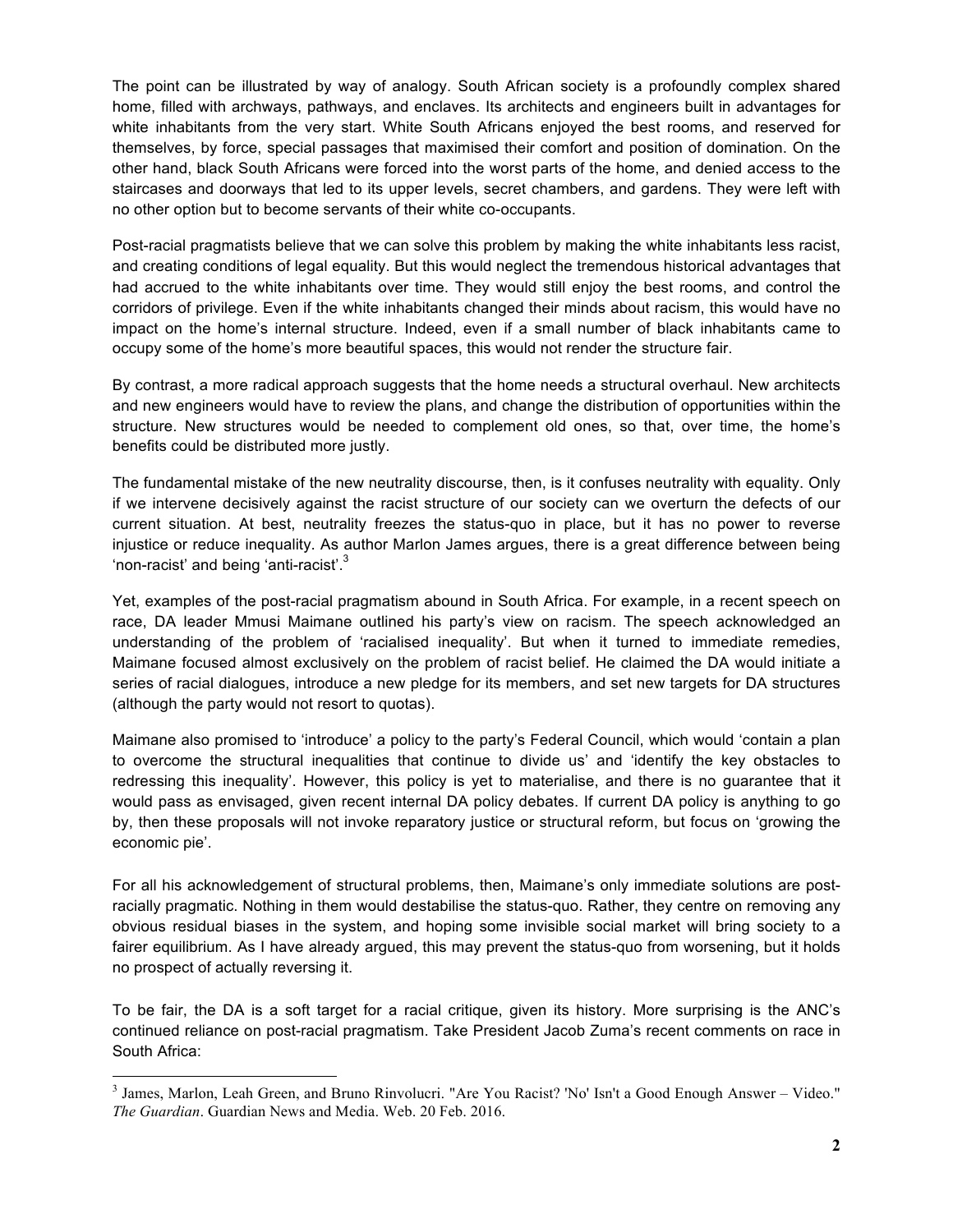The point can be illustrated by way of analogy. South African society is a profoundly complex shared home, filled with archways, pathways, and enclaves. Its architects and engineers built in advantages for white inhabitants from the very start. White South Africans enjoyed the best rooms, and reserved for themselves, by force, special passages that maximised their comfort and position of domination. On the other hand, black South Africans were forced into the worst parts of the home, and denied access to the staircases and doorways that led to its upper levels, secret chambers, and gardens. They were left with no other option but to become servants of their white co-occupants.

Post-racial pragmatists believe that we can solve this problem by making the white inhabitants less racist, and creating conditions of legal equality. But this would neglect the tremendous historical advantages that had accrued to the white inhabitants over time. They would still enjoy the best rooms, and control the corridors of privilege. Even if the white inhabitants changed their minds about racism, this would have no impact on the home's internal structure. Indeed, even if a small number of black inhabitants came to occupy some of the home's more beautiful spaces, this would not render the structure fair.

By contrast, a more radical approach suggests that the home needs a structural overhaul. New architects and new engineers would have to review the plans, and change the distribution of opportunities within the structure. New structures would be needed to complement old ones, so that, over time, the home's benefits could be distributed more justly.

The fundamental mistake of the new neutrality discourse, then, is it confuses neutrality with equality. Only if we intervene decisively against the racist structure of our society can we overturn the defects of our current situation. At best, neutrality freezes the status-quo in place, but it has no power to reverse injustice or reduce inequality. As author Marlon James argues, there is a great difference between being 'non-racist' and being 'anti-racist'.<sup>3</sup>

Yet, examples of the post-racial pragmatism abound in South Africa. For example, in a recent speech on race, DA leader Mmusi Maimane outlined his party's view on racism. The speech acknowledged an understanding of the problem of 'racialised inequality'. But when it turned to immediate remedies, Maimane focused almost exclusively on the problem of racist belief. He claimed the DA would initiate a series of racial dialogues, introduce a new pledge for its members, and set new targets for DA structures (although the party would not resort to quotas).

Maimane also promised to 'introduce' a policy to the party's Federal Council, which would 'contain a plan to overcome the structural inequalities that continue to divide us' and 'identify the key obstacles to redressing this inequality'. However, this policy is yet to materialise, and there is no guarantee that it would pass as envisaged, given recent internal DA policy debates. If current DA policy is anything to go by, then these proposals will not invoke reparatory justice or structural reform, but focus on 'growing the economic pie'.

For all his acknowledgement of structural problems, then, Maimane's only immediate solutions are postracially pragmatic. Nothing in them would destabilise the status-quo. Rather, they centre on removing any obvious residual biases in the system, and hoping some invisible social market will bring society to a fairer equilibrium. As I have already argued, this may prevent the status-quo from worsening, but it holds no prospect of actually reversing it.

To be fair, the DA is a soft target for a racial critique, given its history. More surprising is the ANC's continued reliance on post-racial pragmatism. Take President Jacob Zuma's recent comments on race in South Africa:

<sup>&</sup>lt;sup>3</sup> James, Marlon, Leah Green, and Bruno Rinvolucri. "Are You Racist? 'No' Isn't a Good Enough Answer – Video." *The Guardian*. Guardian News and Media. Web. 20 Feb. 2016.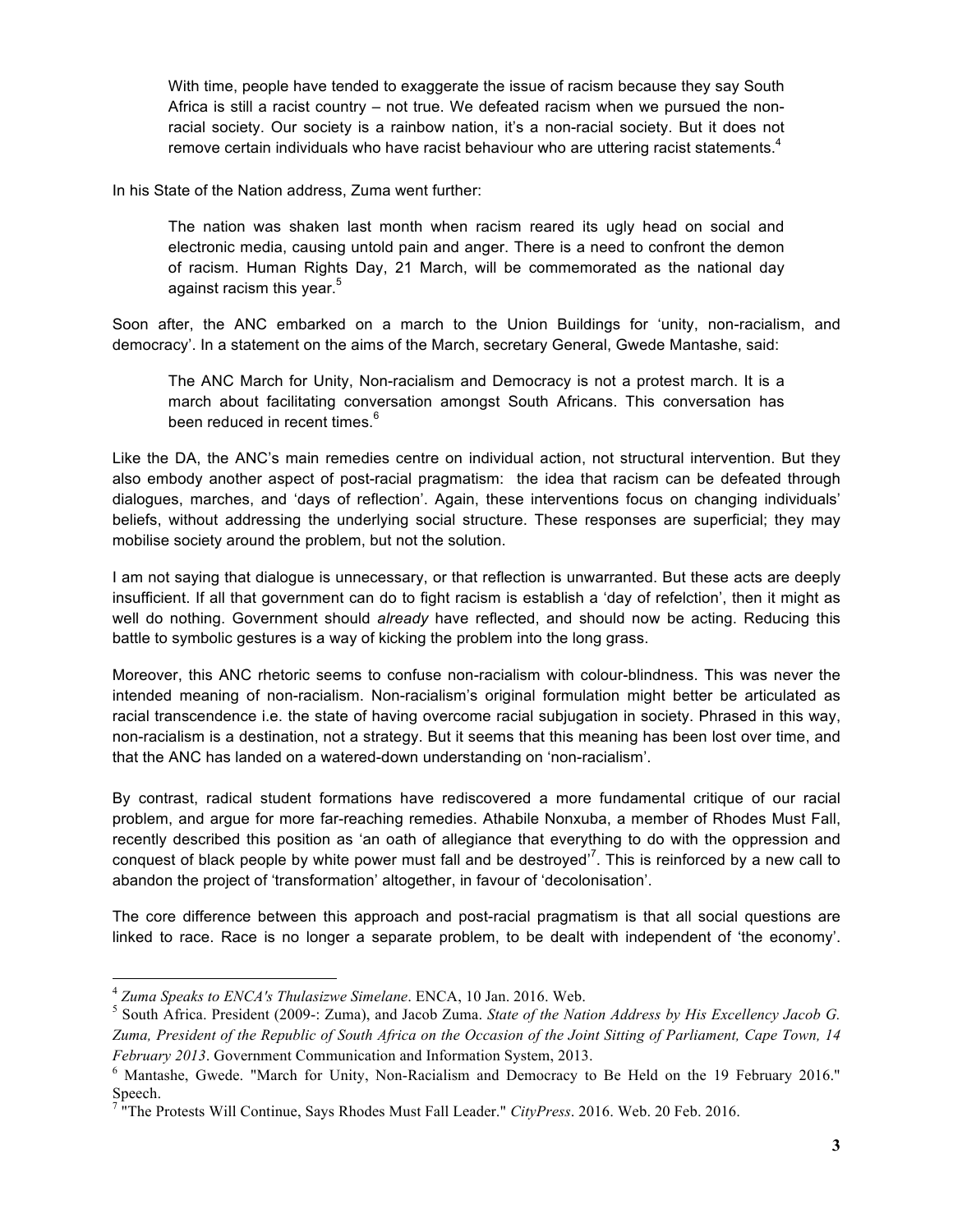With time, people have tended to exaggerate the issue of racism because they say South Africa is still a racist country – not true. We defeated racism when we pursued the nonracial society. Our society is a rainbow nation, it's a non-racial society. But it does not remove certain individuals who have racist behaviour who are uttering racist statements.<sup>4</sup>

In his State of the Nation address, Zuma went further:

The nation was shaken last month when racism reared its ugly head on social and electronic media, causing untold pain and anger. There is a need to confront the demon of racism. Human Rights Day, 21 March, will be commemorated as the national day against racism this year.<sup>5</sup>

Soon after, the ANC embarked on a march to the Union Buildings for 'unity, non-racialism, and democracy'. In a statement on the aims of the March, secretary General, Gwede Mantashe, said:

The ANC March for Unity, Non-racialism and Democracy is not a protest march. It is a march about facilitating conversation amongst South Africans. This conversation has been reduced in recent times.<sup>6</sup>

Like the DA, the ANC's main remedies centre on individual action, not structural intervention. But they also embody another aspect of post-racial pragmatism: the idea that racism can be defeated through dialogues, marches, and 'days of reflection'. Again, these interventions focus on changing individuals' beliefs, without addressing the underlying social structure. These responses are superficial; they may mobilise society around the problem, but not the solution.

I am not saying that dialogue is unnecessary, or that reflection is unwarranted. But these acts are deeply insufficient. If all that government can do to fight racism is establish a 'day of refelction', then it might as well do nothing. Government should *already* have reflected, and should now be acting. Reducing this battle to symbolic gestures is a way of kicking the problem into the long grass.

Moreover, this ANC rhetoric seems to confuse non-racialism with colour-blindness. This was never the intended meaning of non-racialism. Non-racialism's original formulation might better be articulated as racial transcendence i.e. the state of having overcome racial subjugation in society. Phrased in this way, non-racialism is a destination, not a strategy. But it seems that this meaning has been lost over time, and that the ANC has landed on a watered-down understanding on 'non-racialism'.

By contrast, radical student formations have rediscovered a more fundamental critique of our racial problem, and argue for more far-reaching remedies. Athabile Nonxuba, a member of Rhodes Must Fall, recently described this position as 'an oath of allegiance that everything to do with the oppression and conquest of black people by white power must fall and be destroyed'<sup>7</sup>. This is reinforced by a new call to abandon the project of 'transformation' altogether, in favour of 'decolonisation'.

The core difference between this approach and post-racial pragmatism is that all social questions are linked to race. Race is no longer a separate problem, to be dealt with independent of 'the economy'.

<sup>4</sup> *Zuma Speaks to ENCA's Thulasizwe Simelane*. ENCA, 10 Jan. 2016. Web.

<sup>5</sup> South Africa. President (2009-: Zuma), and Jacob Zuma. *State of the Nation Address by His Excellency Jacob G. Zuma, President of the Republic of South Africa on the Occasion of the Joint Sitting of Parliament, Cape Town, 14 February 2013*. Government Communication and Information System, 2013.

<sup>6</sup> Mantashe, Gwede. "March for Unity, Non-Racialism and Democracy to Be Held on the 19 February 2016." Speech.

<sup>7</sup> "The Protests Will Continue, Says Rhodes Must Fall Leader." *CityPress*. 2016. Web. 20 Feb. 2016.